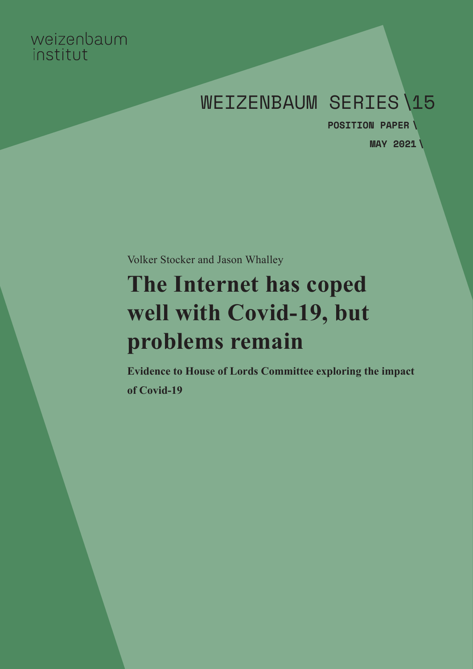# weizenbaum institut

# WEIZENBAUM SERIES\15

**MAY 2021 \POSITION PAPER \**

Volker Stocker and Jason Whalley

# **The Internet has coped well with Covid-19, but problems remain**

**Evidence to House of Lords Committee exploring the impact of Covid-19**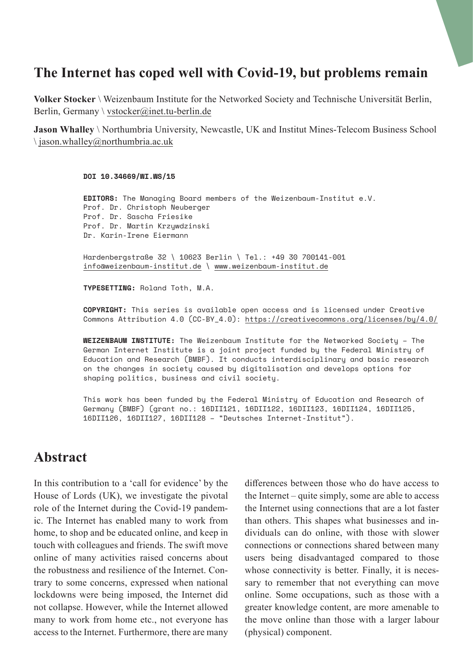# **The Internet has coped well with Covid-19, but problems remain**

**Volker Stocker** \ Weizenbaum Institute for the Networked Society and Technische Universität Berlin, Berlin, Germany \ [vstocker@inet.tu-berlin.de](mailto:vstocker%40inet.tu-berlin.de?subject=)

**Jason Whalley** \ Northumbria University, Newcastle, UK and Institut Mines-Telecom Business School  $\langle$  [jason.whalley@northumbria.ac.uk](mailto:jason.whalley%40northumbria.ac.uk?subject=)

#### **DOI [10.34669/WI.WS/15](http://doi.org/10.34669/WI.WS/15)**

**EDITORS:** The Managing Board members of the Weizenbaum-Institut e.V. Prof. Dr. Christoph Neuberger Prof. Dr. Sascha Friesike Prof. Dr. Martin Krzywdzinski Dr. Karin-Irene Eiermann

Hardenbergstraße 32 \ 10623 Berlin \ Tel.: +49 30 700141-001 [info@weizenbaum-institut.de](mailto:info%40weizenbaum-institut.de?subject=) \ [www.weizenbaum-institut.de](http://www.weizenbaum-institut.de)

**TYPESETTING:** Roland Toth, M.A.

**COPYRIGHT:** This series is available open access and is licensed under Creative Commons Attribution 4.0 (CC-BY\_4.0): <https://creativecommons.org/licenses/by/4.0/>

**WEIZENBAUM INSTITUTE:** The Weizenbaum Institute for the Networked Society – The German Internet Institute is a joint project funded by the Federal Ministry of Education and Research (BMBF). It conducts interdisciplinary and basic research on the changes in society caused by digitalisation and develops options for shaping politics, business and civil society.

This work has been funded by the Federal Ministry of Education and Research of Germany (BMBF) (grant no.: 16DII121, 16DII122, 16DII123, 16DII124, 16DII125, 16DII126, 16DII127, 16DII128 – "Deutsches Internet-Institut").

## **Abstract**

In this contribution to a 'call for evidence' by the House of Lords (UK), we investigate the pivotal role of the Internet during the Covid-19 pandemic. The Internet has enabled many to work from home, to shop and be educated online, and keep in touch with colleagues and friends. The swift move online of many activities raised concerns about the robustness and resilience of the Internet. Contrary to some concerns, expressed when national lockdowns were being imposed, the Internet did not collapse. However, while the Internet allowed many to work from home etc., not everyone has access to the Internet. Furthermore, there are many differences between those who do have access to the Internet – quite simply, some are able to access the Internet using connections that are a lot faster than others. This shapes what businesses and individuals can do online, with those with slower connections or connections shared between many users being disadvantaged compared to those whose connectivity is better. Finally, it is necessary to remember that not everything can move online. Some occupations, such as those with a greater knowledge content, are more amenable to the move online than those with a larger labour (physical) component.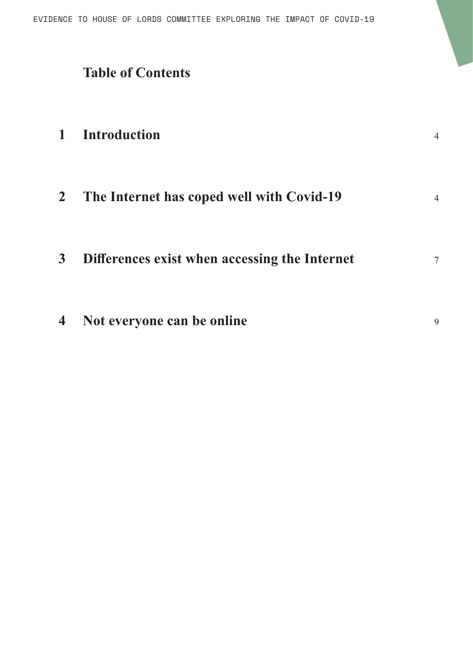Evidence to House of Lords Committee exploring the impact of Covid-19

# **Table of Contents**

| $\mathbf{1}$   | <b>Introduction</b>                           | $\overline{4}$ |
|----------------|-----------------------------------------------|----------------|
| $\overline{2}$ | The Internet has coped well with Covid-19     | $\overline{4}$ |
| $\mathbf{3}$   | Differences exist when accessing the Internet | 7              |
| $\overline{4}$ | Not everyone can be online                    | 9              |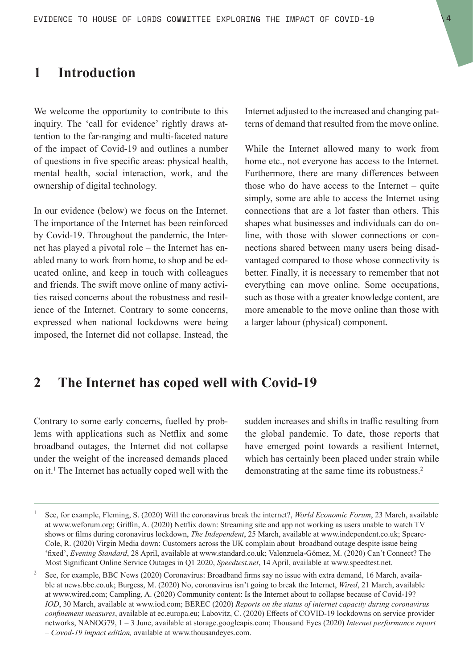#### <span id="page-3-0"></span>**1 Introduction**

We welcome the opportunity to contribute to this inquiry. The 'call for evidence' rightly draws attention to the far-ranging and multi-faceted nature of the impact of Covid-19 and outlines a number of questions in five specific areas: physical health, mental health, social interaction, work, and the ownership of digital technology.

In our evidence (below) we focus on the Internet. The importance of the Internet has been reinforced by Covid-19. Throughout the pandemic, the Internet has played a pivotal role – the Internet has enabled many to work from home, to shop and be educated online, and keep in touch with colleagues and friends. The swift move online of many activities raised concerns about the robustness and resilience of the Internet. Contrary to some concerns, expressed when national lockdowns were being imposed, the Internet did not collapse. Instead, the Internet adjusted to the increased and changing patterns of demand that resulted from the move online.

While the Internet allowed many to work from home etc., not everyone has access to the Internet. Furthermore, there are many differences between those who do have access to the Internet – quite simply, some are able to access the Internet using connections that are a lot faster than others. This shapes what businesses and individuals can do online, with those with slower connections or connections shared between many users being disadvantaged compared to those whose connectivity is better. Finally, it is necessary to remember that not everything can move online. Some occupations, such as those with a greater knowledge content, are more amenable to the move online than those with a larger labour (physical) component.

## **2 The Internet has coped well with Covid-19**

Contrary to some early concerns, fuelled by problems with applications such as Netflix and some broadband outages, the Internet did not collapse under the weight of the increased demands placed on it.1 The Internet has actually coped well with the sudden increases and shifts in traffic resulting from the global pandemic. To date, those reports that have emerged point towards a resilient Internet, which has certainly been placed under strain while demonstrating at the same time its robustness.<sup>2</sup>

<sup>1</sup> See, for example, Fleming, S. (2020) Will the coronavirus break the internet?, *World Economic Forum*, 23 March, available at www.weforum.org; Griffin, A. (2020) Netflix down: Streaming site and app not working as users unable to watch TV shows or films during coronavirus lockdown, *The Independent*, 25 March, available at www.independent.co.uk; Speare-Cole, R. (2020) Virgin Media down: Customers across the UK complain about broadband outage despite issue being 'fixed', *Evening Standard*, 28 April, available at www.standard.co.uk; Valenzuela-Gómez, M. (2020) Can't Connect? The Most Significant Online Service Outages in Q1 2020, *Speedtest.net*, 14 April, available at www.speedtest.net.

<sup>&</sup>lt;sup>2</sup> See, for example, BBC News (2020) Coronavirus: Broadband firms say no issue with extra demand, 16 March, available at news.bbc.co.uk; Burgess, M. (2020) No, coronavirus isn't going to break the Internet, *Wired*, 21 March, available at www.wired.com; Campling, A. (2020) Community content: Is the Internet about to collapse because of Covid-19? *IOD*, 30 March, available at www.iod.com; BEREC (2020) *Reports on the status of internet capacity during coronavirus confinement measures*, available at ec.europa.eu; Labovitz, C. (2020) Effects of COVID-19 lockdowns on service provider networks, NANOG79, 1 – 3 June, available at storage.googleapis.com; Thousand Eyes (2020) *Internet performance report – Covod-19 impact edition,* available at www.thousandeyes.com.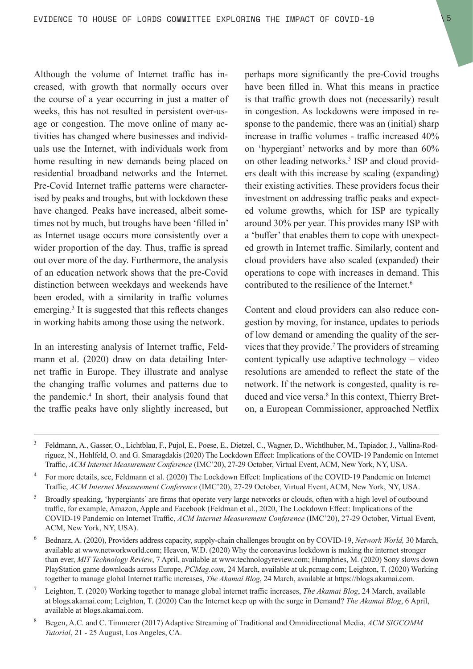Although the volume of Internet traffic has increased, with growth that normally occurs over the course of a year occurring in just a matter of weeks, this has not resulted in persistent over-usage or congestion. The move online of many activities has changed where businesses and individuals use the Internet, with individuals work from home resulting in new demands being placed on residential broadband networks and the Internet. Pre-Covid Internet traffic patterns were characterised by peaks and troughs, but with lockdown these have changed. Peaks have increased, albeit sometimes not by much, but troughs have been 'filled in' as Internet usage occurs more consistently over a wider proportion of the day. Thus, traffic is spread out over more of the day. Furthermore, the analysis of an education network shows that the pre-Covid distinction between weekdays and weekends have been eroded, with a similarity in traffic volumes emerging.<sup>3</sup> It is suggested that this reflects changes in working habits among those using the network.

In an interesting analysis of Internet traffic, Feldmann et al. (2020) draw on data detailing Internet traffic in Europe. They illustrate and analyse the changing traffic volumes and patterns due to the pandemic.4 In short, their analysis found that the traffic peaks have only slightly increased, but

perhaps more significantly the pre-Covid troughs have been filled in. What this means in practice is that traffic growth does not (necessarily) result in congestion. As lockdowns were imposed in response to the pandemic, there was an (initial) sharp increase in traffic volumes - traffic increased 40% on 'hypergiant' networks and by more than 60% on other leading networks.<sup>5</sup> ISP and cloud providers dealt with this increase by scaling (expanding) their existing activities. These providers focus their investment on addressing traffic peaks and expected volume growths, which for ISP are typically around 30% per year. This provides many ISP with a 'buffer' that enables them to cope with unexpected growth in Internet traffic. Similarly, content and cloud providers have also scaled (expanded) their operations to cope with increases in demand. This contributed to the resilience of the Internet.<sup>6</sup>

Content and cloud providers can also reduce congestion by moving, for instance, updates to periods of low demand or amending the quality of the services that they provide.7 The providers of streaming content typically use adaptive technology – video resolutions are amended to reflect the state of the network. If the network is congested, quality is reduced and vice versa.<sup>8</sup> In this context, Thierry Breton, a European Commissioner, approached Netflix

<sup>3</sup> Feldmann, A., Gasser, O., Lichtblau, F., Pujol, E., Poese, E., Dietzel, C., Wagner, D., Wichtlhuber, M., Tapiador, J., Vallina-Rodriguez, N., Hohlfeld, O. and G. Smaragdakis (2020) The Lockdown Effect: Implications of the COVID-19 Pandemic on Internet Traffic, *ACM Internet Measurement Conference* (IMC'20), 27-29 October, Virtual Event, ACM, New York, NY, USA.

<sup>4</sup> For more details, see, Feldmann et al. (2020) The Lockdown Effect: Implications of the COVID-19 Pandemic on Internet Traffic, *ACM Internet Measurement Conference* (IMC'20), 27-29 October, Virtual Event, ACM, New York, NY, USA.

<sup>&</sup>lt;sup>5</sup> Broadly speaking, 'hypergiants' are firms that operate very large networks or clouds, often with a high level of outbound traffic, for example, Amazon, Apple and Facebook (Feldman et al., 2020, The Lockdown Effect: Implications of the COVID-19 Pandemic on Internet Traffic, *ACM Internet Measurement Conference* (IMC'20), 27-29 October, Virtual Event, ACM, New York, NY, USA).

<sup>6</sup> Bednarz, A. (2020), Providers address capacity, supply-chain challenges brought on by COVID-19, *Network World,* 30 March, available at www.networkworld.com; Heaven, W.D. (2020) Why the coronavirus lockdown is making the internet stronger than ever, *MIT Technology Review*, 7 April, available at www.technologyreview.com; Humphries, M. (2020) Sony slows down PlayStation game downloads across Europe, *PCMag.com*, 24 March, available at uk.pcmag.com; Leighton, T. (2020) Working together to manage global Internet traffic increases, *The Akamai Blog*, 24 March, available at https://blogs.akamai.com.

<sup>7</sup> Leighton, T. (2020) Working together to manage global internet traffic increases, *The Akamai Blog*, 24 March, available at blogs.akamai.com; Leighton, T. (2020) Can the Internet keep up with the surge in Demand? *The Akamai Blog*, 6 April, available at blogs.akamai.com.

<sup>8</sup> Begen, A.C. and C. Timmerer (2017) Adaptive Streaming of Traditional and Omnidirectional Media, *ACM SIGCOMM Tutorial*, 21 - 25 August, Los Angeles, CA.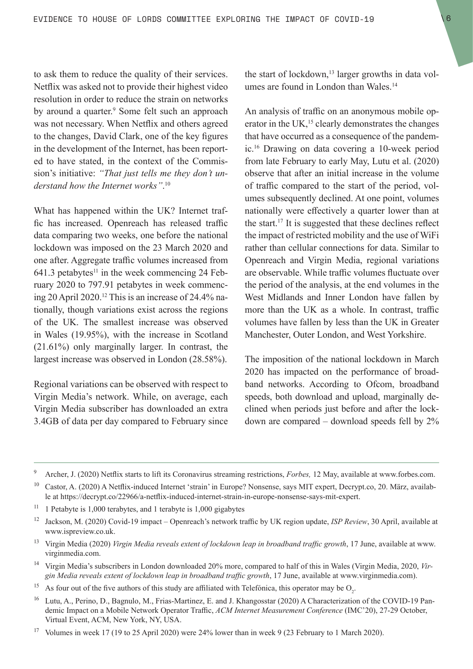to ask them to reduce the quality of their services. Netflix was asked not to provide their highest video resolution in order to reduce the strain on networks by around a quarter.<sup>9</sup> Some felt such an approach was not necessary. When Netflix and others agreed to the changes, David Clark, one of the key figures in the development of the Internet, has been reported to have stated, in the context of the Commission's initiative: *"That just tells me they don't understand how the Internet works"*. 10

What has happened within the UK? Internet traffic has increased. Openreach has released traffic data comparing two weeks, one before the national lockdown was imposed on the 23 March 2020 and one after. Aggregate traffic volumes increased from 641.3 petabytes $11$  in the week commencing 24 February 2020 to 797.91 petabytes in week commencing 20 April 2020.<sup>12</sup> This is an increase of 24.4% nationally, though variations exist across the regions of the UK. The smallest increase was observed in Wales (19.95%), with the increase in Scotland (21.61%) only marginally larger. In contrast, the largest increase was observed in London (28.58%).

Regional variations can be observed with respect to Virgin Media's network. While, on average, each Virgin Media subscriber has downloaded an extra 3.4GB of data per day compared to February since the start of lockdown, $13$  larger growths in data volumes are found in London than Wales.<sup>14</sup>

An analysis of traffic on an anonymous mobile operator in the UK,<sup>15</sup> clearly demonstrates the changes that have occurred as a consequence of the pandemic.16 Drawing on data covering a 10-week period from late February to early May, Lutu et al. (2020) observe that after an initial increase in the volume of traffic compared to the start of the period, volumes subsequently declined. At one point, volumes nationally were effectively a quarter lower than at the start.17 It is suggested that these declines reflect the impact of restricted mobility and the use of WiFi rather than cellular connections for data. Similar to Openreach and Virgin Media, regional variations are observable. While traffic volumes fluctuate over the period of the analysis, at the end volumes in the West Midlands and Inner London have fallen by more than the UK as a whole. In contrast, traffic volumes have fallen by less than the UK in Greater Manchester, Outer London, and West Yorkshire.

The imposition of the national lockdown in March 2020 has impacted on the performance of broadband networks. According to Ofcom, broadband speeds, both download and upload, marginally declined when periods just before and after the lockdown are compared – download speeds fell by 2%

- <sup>13</sup> Virgin Media (2020) *Virgin Media reveals extent of lockdown leap in broadband traffic growth*, 17 June, available at www. virginmedia.com.
- <sup>14</sup> Virgin Media's subscribers in London downloaded 20% more, compared to half of this in Wales (Virgin Media, 2020, *Virgin Media reveals extent of lockdown leap in broadband traffic growth*, 17 June, available at www.virginmedia.com).
- <sup>15</sup> As four out of the five authors of this study are affiliated with Telefónica, this operator may be  $O_2$ .
- Lutu, A., Perino, D., Bagnulo, M., Frias-Martinez, E. and J. Khangosstar (2020) A Characterization of the COVID-19 Pandemic Impact on a Mobile Network Operator Traffic, *ACM Internet Measurement Conference* (IMC'20), 27-29 October, Virtual Event, ACM, New York, NY, USA.
- <sup>17</sup> Volumes in week 17 (19 to 25 April 2020) were 24% lower than in week 9 (23 February to 1 March 2020).

<sup>9</sup> Archer, J. (2020) Netflix starts to lift its Coronavirus streaming restrictions, *Forbes,* 12 May, available at [www.forbes.com.](http://www.forbes.com)

<sup>&</sup>lt;sup>10</sup> Castor, A. (2020) A Netflix-induced Internet 'strain' in Europe? Nonsense, says MIT expert, Decrypt.co, 20. März, available at https://decrypt.co/22966/a-netflix-induced-internet-strain-in-europe-nonsense-says-mit-expert.

<sup>&</sup>lt;sup>11</sup> 1 Petabyte is 1,000 terabytes, and 1 terabyte is 1,000 gigabytes

<sup>12</sup> Jackson, M. (2020) Covid-19 impact – Openreach's network traffic by UK region update, *ISP Review*, 30 April, available at www.ispreview.co.uk.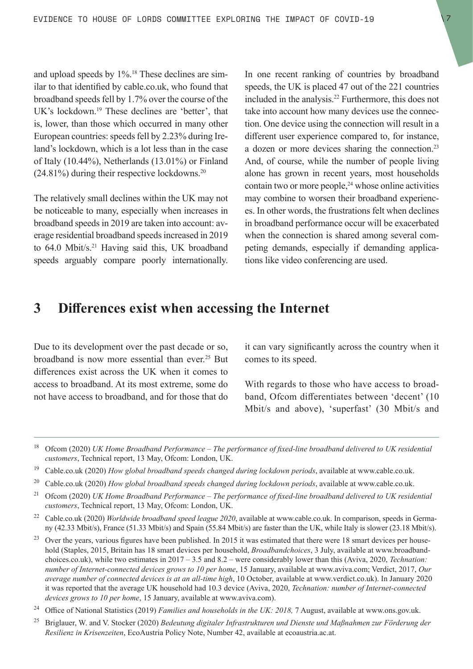<span id="page-6-0"></span>and upload speeds by 1%.18 These declines are similar to that identified by cable.co.uk, who found that broadband speeds fell by 1.7% over the course of the UK's lockdown.19 These declines are 'better', that is, lower, than those which occurred in many other European countries: speeds fell by 2.23% during Ireland's lockdown, which is a lot less than in the case of Italy (10.44%), Netherlands (13.01%) or Finland  $(24.81\%)$  during their respective lockdowns.<sup>20</sup>

The relatively small declines within the UK may not be noticeable to many, especially when increases in broadband speeds in 2019 are taken into account: average residential broadband speeds increased in 2019 to 64.0 Mbit/s.<sup>21</sup> Having said this, UK broadband speeds arguably compare poorly internationally. In one recent ranking of countries by broadband speeds, the UK is placed 47 out of the 221 countries included in the analysis.<sup>22</sup> Furthermore, this does not take into account how many devices use the connection. One device using the connection will result in a different user experience compared to, for instance, a dozen or more devices sharing the connection.<sup>23</sup> And, of course, while the number of people living alone has grown in recent years, most households contain two or more people, $24$  whose online activities may combine to worsen their broadband experiences. In other words, the frustrations felt when declines in broadband performance occur will be exacerbated when the connection is shared among several competing demands, especially if demanding applications like video conferencing are used.

## **3 Differences exist when accessing the Internet**

Due to its development over the past decade or so, broadband is now more essential than ever.<sup>25</sup> But differences exist across the UK when it comes to access to broadband. At its most extreme, some do not have access to broadband, and for those that do it can vary significantly across the country when it comes to its speed.

With regards to those who have access to broadband, Ofcom differentiates between 'decent' (10 Mbit/s and above), 'superfast' (30 Mbit/s and

<sup>19</sup> Cable.co.uk (2020) *How global broadband speeds changed during lockdown periods*, available at www.cable.co.uk.

<sup>18</sup> Ofcom (2020) *UK Home Broadband Performance – The performance of fixed-line broadband delivered to UK residential customers*, Technical report, 13 May, Ofcom: London, UK.

<sup>&</sup>lt;sup>20</sup> Cable.co.uk (2020) *How global broadband speeds changed during lockdown periods*, available at www.cable.co.uk.

<sup>21</sup> Ofcom (2020) *UK Home Broadband Performance – The performance of fixed-line broadband delivered to UK residential customers*, Technical report, 13 May, Ofcom: London, UK.

<sup>22</sup> Cable.co.uk (2020) *Worldwide broadband speed league 2020*, available at www.cable.co.uk. In comparison, speeds in Germany (42.33 Mbit/s), France (51.33 Mbit/s) and Spain (55.84 Mbit/s) are faster than the UK, while Italy is slower (23.18 Mbit/s).

<sup>&</sup>lt;sup>23</sup> Over the years, various figures have been published. In 2015 it was estimated that there were 18 smart devices per household (Staples, 2015, Britain has 18 smart devices per household, *Broadbandchoices*, 3 July, available at www.broadbandchoices.co.uk), while two estimates in 2017 – 3.5 and 8.2 – were considerably lower than this (Aviva, 2020, *Technation: number of Internet-connected devices grows to 10 per home*, 15 January, available at www.aviva.com; Verdict, 2017, *Our average number of connected devices is at an all-time high*, 10 October, available at www.verdict.co.uk). In January 2020 it was reported that the average UK household had 10.3 device (Aviva, 2020, *Technation: number of Internet-connected devices grows to 10 per home*, 15 January, available at www.aviva.com).

<sup>24</sup> Office of National Statistics (2019) *Families and households in the UK: 2018,* 7 August, available at www.ons.gov.uk.

<sup>25</sup> Briglauer, W. and V. Stocker (2020) *Bedeutung digitaler Infrastrukturen und Dienste und Maßnahmen zur Förderung der Resilienz in Krisenzeiten*, EcoAustria Policy Note, Number 42, available at ecoaustria.ac.at.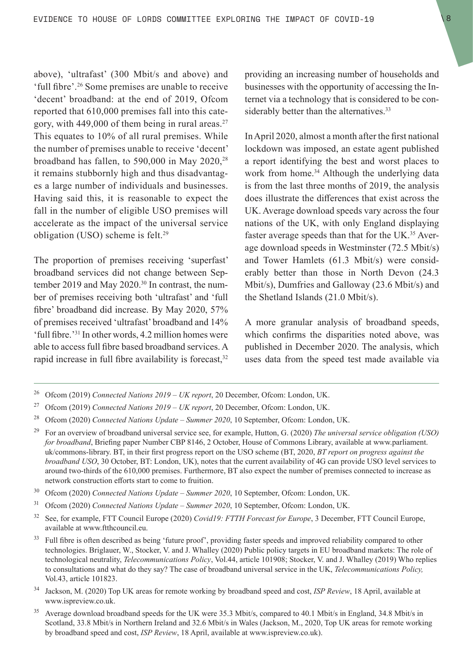above), 'ultrafast' (300 Mbit/s and above) and 'full fibre'.26 Some premises are unable to receive 'decent' broadband: at the end of 2019, Ofcom reported that 610,000 premises fall into this category, with 449,000 of them being in rural areas.27 This equates to 10% of all rural premises. While the number of premises unable to receive 'decent' broadband has fallen, to 590,000 in May 2020, $^{28}$ it remains stubbornly high and thus disadvantages a large number of individuals and businesses. Having said this, it is reasonable to expect the fall in the number of eligible USO premises will accelerate as the impact of the universal service obligation (USO) scheme is felt.<sup>29</sup>

The proportion of premises receiving 'superfast' broadband services did not change between September 2019 and May 2020.<sup>30</sup> In contrast, the number of premises receiving both 'ultrafast' and 'full fibre' broadband did increase. By May 2020, 57% of premises received 'ultrafast' broadband and 14% 'full fibre.'31 In other words, 4.2 million homes were able to access full fibre based broadband services. A rapid increase in full fibre availability is forecast, $32$ 

providing an increasing number of households and businesses with the opportunity of accessing the Internet via a technology that is considered to be considerably better than the alternatives.<sup>33</sup>

In April 2020, almost a month after the first national lockdown was imposed, an estate agent published a report identifying the best and worst places to work from home.<sup>34</sup> Although the underlying data is from the last three months of 2019, the analysis does illustrate the differences that exist across the UK. Average download speeds vary across the four nations of the UK, with only England displaying faster average speeds than that for the UK.<sup>35</sup> Average download speeds in Westminster (72.5 Mbit/s) and Tower Hamlets (61.3 Mbit/s) were considerably better than those in North Devon (24.3 Mbit/s), Dumfries and Galloway (23.6 Mbit/s) and the Shetland Islands (21.0 Mbit/s).

A more granular analysis of broadband speeds, which confirms the disparities noted above, was published in December 2020. The analysis, which uses data from the speed test made available via

- <sup>30</sup> Ofcom (2020) *Connected Nations Update Summer 2020*, 10 September, Ofcom: London, UK.
- <sup>31</sup> Ofcom (2020) *Connected Nations Update Summer 2020*, 10 September, Ofcom: London, UK.
- <sup>32</sup> See, for example, FTT Council Europe (2020) *Covid19: FTTH Forecast for Europe*, 3 December, FTT Council Europe, available at www.ftthcouncil.eu.
- <sup>33</sup> Full fibre is often described as being 'future proof', providing faster speeds and improved reliability compared to other technologies. Briglauer, W., Stocker, V. and J. Whalley (2020) Public policy targets in EU broadband markets: The role of technological neutrality, *Telecommunications Policy*, Vol.44, article 101908; Stocker, V. and J. Whalley (2019) Who replies to consultations and what do they say? The case of broadband universal service in the UK, *Telecommunications Policy,*  Vol.43, article 101823.
- <sup>34</sup> Jackson, M. (2020) Top UK areas for remote working by broadband speed and cost, *ISP Review*, 18 April, available at www.ispreview.co.uk.
- <sup>35</sup> Average download broadband speeds for the UK were 35.3 Mbit/s, compared to 40.1 Mbit/s in England, 34.8 Mbit/s in Scotland, 33.8 Mbit/s in Northern Ireland and 32.6 Mbit/s in Wales (Jackson, M., 2020, Top UK areas for remote working by broadband speed and cost, *ISP Review*, 18 April, available at www.ispreview.co.uk).

<sup>26</sup> Ofcom (2019) *Connected Nations 2019 – UK report*, 20 December, Ofcom: London, UK.

<sup>27</sup> Ofcom (2019) *Connected Nations 2019 – UK report*, 20 December, Ofcom: London, UK.

<sup>28</sup> Ofcom (2020) *Connected Nations Update – Summer 2020*, 10 September, Ofcom: London, UK.

<sup>29</sup> For an overview of broadband universal service see, for example, Hutton, G. (2020) *The universal service obligation (USO) for broadband*, Briefing paper Number CBP 8146, 2 October, House of Commons Library, available at www.parliament. uk/commons-library. BT, in their first progress report on the USO scheme (BT, 2020, *BT report on progress against the broadband USO*, 30 October, BT: London, UK), notes that the current availability of 4G can provide USO level services to around two-thirds of the 610,000 premises. Furthermore, BT also expect the number of premises connected to increase as network construction efforts start to come to fruition.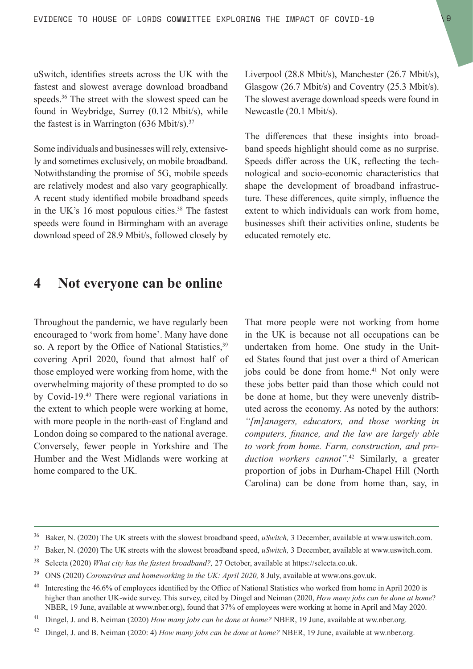<span id="page-8-0"></span>uSwitch, identifies streets across the UK with the fastest and slowest average download broadband speeds.<sup>36</sup> The street with the slowest speed can be found in Weybridge, Surrey (0.12 Mbit/s), while the fastest is in Warrington  $(636 \text{ Mbit/s})^{37}$ 

Some individuals and businesses will rely, extensively and sometimes exclusively, on mobile broadband. Notwithstanding the promise of 5G, mobile speeds are relatively modest and also vary geographically. A recent study identified mobile broadband speeds in the UK's 16 most populous cities.<sup>38</sup> The fastest speeds were found in Birmingham with an average download speed of 28.9 Mbit/s, followed closely by

# **4 Not everyone can be online**

Throughout the pandemic, we have regularly been encouraged to 'work from home'. Many have done so. A report by the Office of National Statistics,<sup>39</sup> covering April 2020, found that almost half of those employed were working from home, with the overwhelming majority of these prompted to do so by Covid-19.40 There were regional variations in the extent to which people were working at home, with more people in the north-east of England and London doing so compared to the national average. Conversely, fewer people in Yorkshire and The Humber and the West Midlands were working at home compared to the UK.

Liverpool (28.8 Mbit/s), Manchester (26.7 Mbit/s), Glasgow (26.7 Mbit/s) and Coventry (25.3 Mbit/s). The slowest average download speeds were found in Newcastle (20.1 Mbit/s).

The differences that these insights into broadband speeds highlight should come as no surprise. Speeds differ across the UK, reflecting the technological and socio-economic characteristics that shape the development of broadband infrastructure. These differences, quite simply, influence the extent to which individuals can work from home, businesses shift their activities online, students be educated remotely etc.

That more people were not working from home in the UK is because not all occupations can be undertaken from home. One study in the United States found that just over a third of American jobs could be done from home.<sup>41</sup> Not only were these jobs better paid than those which could not be done at home, but they were unevenly distributed across the economy. As noted by the authors: *"[m]anagers, educators, and those working in computers, finance, and the law are largely able to work from home. Farm, construction, and production workers cannot".*42 Similarly, a greater proportion of jobs in Durham-Chapel Hill (North Carolina) can be done from home than, say, in

<sup>36</sup> Baker, N. (2020) The UK streets with the slowest broadband speed, *uSwitch,* 3 December, available at www.uswitch.com.

<sup>37</sup> Baker, N. (2020) The UK streets with the slowest broadband speed, *uSwitch,* 3 December, available at www.uswitch.com.

<sup>38</sup> Selecta (2020) *What city has the fastest broadband?,* 27 October, available at https://selecta.co.uk.

<sup>39</sup> ONS (2020) *Coronavirus and homeworking in the UK: April 2020,* 8 July, available at www.ons.gov.uk.

<sup>&</sup>lt;sup>40</sup> Interesting the 46.6% of employees identified by the Office of National Statistics who worked from home in April 2020 is higher than another UK-wide survey. This survey, cited by Dingel and Neiman (2020, *How many jobs can be done at home*? NBER, 19 June, available at www.nber.org), found that 37% of employees were working at home in April and May 2020.

<sup>&</sup>lt;sup>41</sup> Dingel, J. and B. Neiman (2020) *How many jobs can be done at home?* NBER, 19 June, available at ww.nber.org.

<sup>42</sup> Dingel, J. and B. Neiman (2020: 4) *How many jobs can be done at home?* NBER, 19 June, available at ww.nber.org.